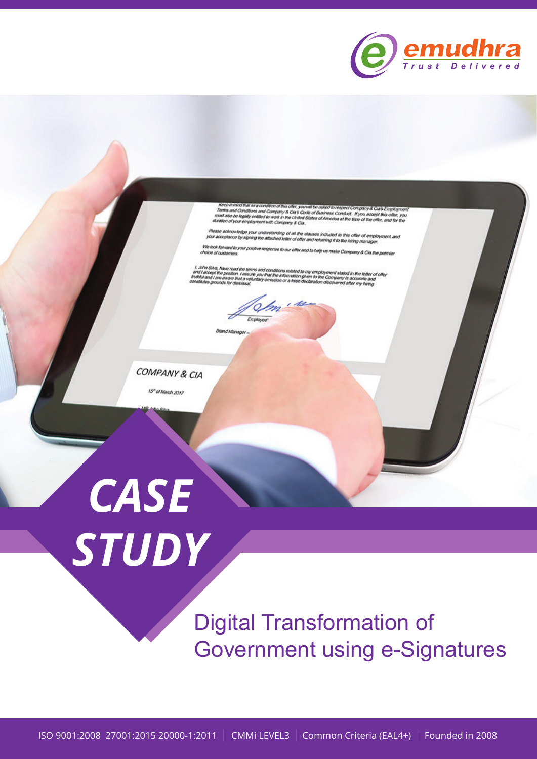

loep in mind lind as a concleon of this offer, you will be asked to respect Company & Cia's Employmen<br>smis and Conditions and Company & Cia's Code of Business Conduct. If you accept this offer, you<br>et also be legally entit

.<br>Please acknowledge your understanding of all the clauses included in this offer of employment and<br>your acceptance by signing the attached letter of offer and returning it to the hinng manager.

We look forward to your positive response to our offer and to help us make Company & Cia the pres

l. John Silva, have read the terms and conditions related to my employment stated in the letter of offer<br>hof recept the postlon. I assure you that the information given to the Company is accurate and<br>istitutes grounds for

Atanager

COMPANY & CIA

15<sup>n</sup> of March 2017



**Digital Transformation of Government using e-Signatures**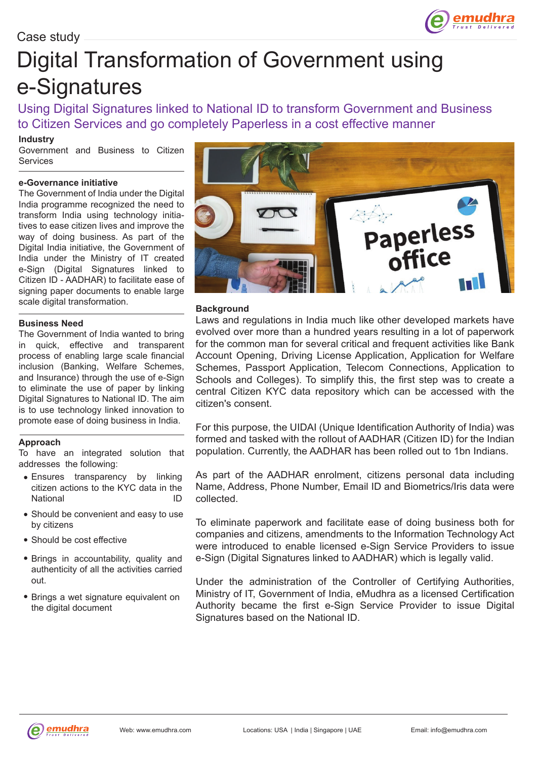# Digital Transformation of Government using e-Signatures

Using Digital Signatures linked to National ID to transform Government and Business to Citizen Services and go completely Paperless in a cost effective manner

# **Industry**

Government and Business to Citizen Services

# **e-Governance initiative**

The Government of India under the Digital India programme recognized the need to transform India using technology initiatives to ease citizen lives and improve the way of doing business. As part of the Digital India initiative, the Government of India under the Ministry of IT created e-Sign (Digital Signatures linked to Citizen ID - AADHAR) to facilitate ease of signing paper documents to enable large scale digital transformation.

## **Business Need**

The Government of India wanted to bring in quick, effective and transparent process of enabling large scale financial inclusion (Banking, Welfare Schemes, and Insurance) through the use of e-Sign to eliminate the use of paper by linking Digital Signatures to National ID. The aim is to use technology linked innovation to promote ease of doing business in India.

## **Approach**

To have an integrated solution that addresses the following:

- Ensures transparency by linking citizen actions to the KYC data in the National ID
- Should be convenient and easy to use by citizens
- Should be cost effective
- Brings in accountability, quality and authenticity of all the activities carried out.
- Brings a wet signature equivalent on the digital document



emudh

#### **Background**

Laws and regulations in India much like other developed markets have evolved over more than a hundred years resulting in a lot of paperwork for the common man for several critical and frequent activities like Bank Account Opening, Driving License Application, Application for Welfare Schemes, Passport Application, Telecom Connections, Application to Schools and Colleges). To simplify this, the first step was to create a central Citizen KYC data repository which can be accessed with the citizen's consent.

For this purpose, the UIDAI (Unique Identification Authority of India) was formed and tasked with the rollout of AADHAR (Citizen ID) for the Indian population. Currently, the AADHAR has been rolled out to 1bn Indians.

As part of the AADHAR enrolment, citizens personal data including Name, Address, Phone Number, Email ID and Biometrics/Iris data were collected.

To eliminate paperwork and facilitate ease of doing business both for companies and citizens, amendments to the Information Technology Act were introduced to enable licensed e-Sign Service Providers to issue e-Sign (Digital Signatures linked to AADHAR) which is legally valid.

Under the administration of the Controller of Certifying Authorities, Ministry of IT, Government of India, eMudhra as a licensed Certification Authority became the first e-Sign Service Provider to issue Digital Signatures based on the National ID.

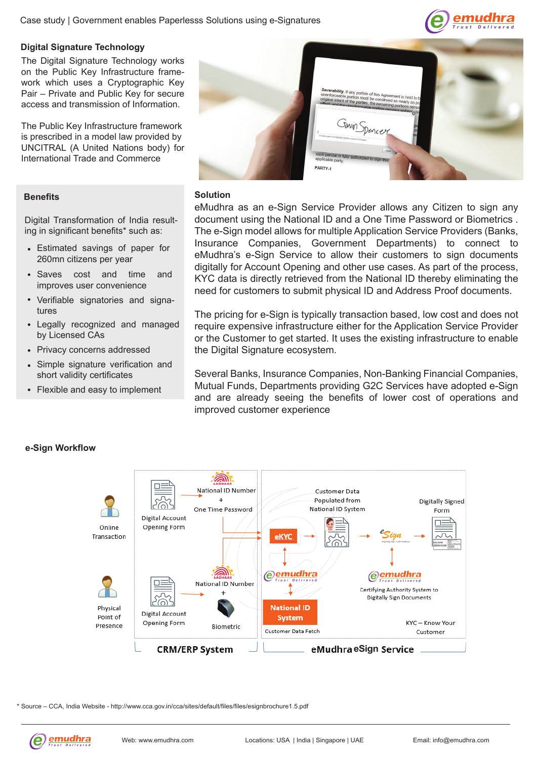

## **Digital Signature Technology**

The Digital Signature Technology works on the Public Key Infrastructure framework which uses a Cryptographic Key Pair – Private and Public Key for secure access and transmission of Information.

The Public Key Infrastructure framework is prescribed in a model law provided by UNCITRAL (A United Nations body) for International Trade and Commerce

#### **Benefits**

Digital Transformation of India resulting in significant benefits\* such as:

- Estimated savings of paper for 260mn citizens per year
- Saves cost and time and improves user convenience
- Verifiable signatories and signatures
- Legally recognized and managed by Licensed CAs
- Privacy concerns addressed
- Simple signature verification and short validity certificates
- Flexible and easy to implement



#### **Solution**

eMudhra as an e-Sign Service Provider allows any Citizen to sign any document using the National ID and a One Time Password or Biometrics . The e-Sign model allows for multiple Application Service Providers (Banks, Insurance Companies, Government Departments) to connect to eMudhra's e-Sign Service to allow their customers to sign documents digitally for Account Opening and other use cases. As part of the process, KYC data is directly retrieved from the National ID thereby eliminating the need for customers to submit physical ID and Address Proof documents.

The pricing for e-Sign is typically transaction based, low cost and does not require expensive infrastructure either for the Application Service Provider or the Customer to get started. It uses the existing infrastructure to enable the Digital Signature ecosystem.

Several Banks, Insurance Companies, Non-Banking Financial Companies, Mutual Funds, Departments providing G2C Services have adopted e-Sign and are already seeing the benefits of lower cost of operations and improved customer experience



**e-Sign Workflow**

\* Source – CCA, India Website - http://www.cca.gov.in/cca/sites/default/files/files/esignbrochure1.5.pdf